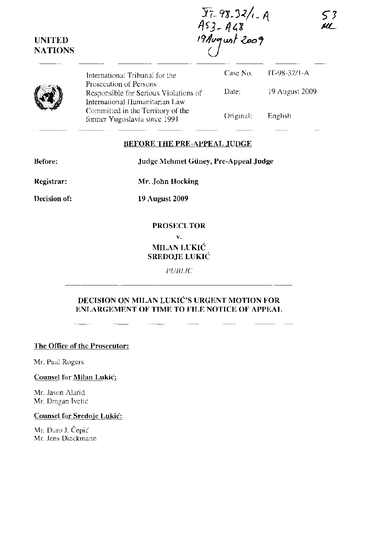$\frac{\sum_{i=98.32/1.8}}{453.448}$  $19$ Avgust 2009

ζ3 UI -

 $\circled{s}$ International Tribunal for the Prosecution of Persons Responsible for Serious Violations of International Humanitarian Law Committed in the Territory of the former Yugoslavia since 1991 Case No. Date: Original: IT-98-32/1-A 19 August 2009 English

#### **BEFORE THE PRE-APPEAL JUDGE**

**Before: Judge Mehmet Guney, Pre-Appeal Judge** 

**Registrar:** 

**UNITED NATIONS** 

**Mr. John Hocking** 

**Decision of:** 

**19 August 2009** 

### **PROSECUTOR**

**v.** 

# MILAN LUKIĆ **SREDOJE LUKIC**

*PUBLIC* 

# **DECISION ON MILAN LUKIC'S URGENT MOTION FOR ENLARGEMENT OF TIME TO FILE NOTICE OF APPEAL**

**The Office of the Prosecutor:** 

Mr. Paul Rogers

**Counsel for Milan Lukic:** 

Mr. Jason Alarid Mr. Dragan Ivetić

#### **Counsel for Sredoje Lukic:**

Mr. Duro J. Čepić Mr. Jens Dieckmann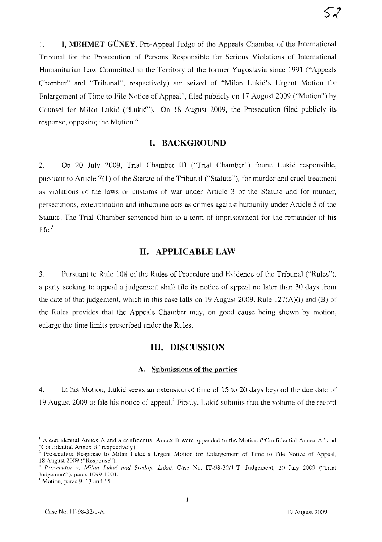1. **I, MEHMET GUNEY,** Pre-Appeal Judge of the Appeals Chamber of the International Tribunal for the Prosecution of Persons Responsible for Serious Violations of International Humanitarian Law Committed in the Territory of the former Yugoslavia since 1991 ("Appeals Chamber" and "Tribunal", respectively) am seized of "Milan Lukić's Urgent Motion for Enlargement of Time to File Notice of Appeal", filed publicly on 17 August 2009 ("Motion") by Counsel for Milan Lukić ("Lukić").<sup>1</sup> On 18 August 2009, the Prosecution filed publicly its response, opposing the Motion. $2$ 

### **I. BACKGROUND**

2. On 20 July 2009, Trial Chamber **III** ("Trial Chamber") found Lukic responsible, pursuant to Article 7(1) of the Statute of the Tribunal ("Statute"), for murder and cruel treatment as violations of the laws or customs of war under Article 3 of the Statute and for murder, persecutions, extermination and inhumane acts as crimes against humanity under Article 5 of the Statute. The Trial Chamber sentenced him to a term of imprisonment for the remainder of his life. $3$ 

## **II. APPLICABLE LAW**

3. Pursuant to Rule 108 of the Rules of Procedure and Evidence of the Tribunal ("Rules"), a party seeking to appeal a judgement shall file its notice of appeal no later than 30 days from the date of that judgement, which in this case falls on 19 August 2009. Rule  $127(A)(i)$  and (B) of the Rules provides that the Appeals Chamber may, on good cause being shown by motion, enlarge the time limits prescribed under the Rules.

### **III. DISCUSSION**

#### **A. Submissions of the parties**

4. **In** his Motion, Lukic seeks an extension of time of 15 to 20 days beyond the due date of 19 August 2009 to file his notice of appeal.<sup>4</sup> Firstly, Lukic submits that the volume of the record

 $\perp$  A confidential Annex A and a confidential Annex B were appended to the Motion ("Confidential Annex A" and "Confidential Annex B" respectively).

<sup>&</sup>lt;sup>2</sup> Prosecution Response to Milan Lukic's Urgent Motion for Enlargement of Time to File Notice of Appeal, 18 August 2009 ("Response").

*<sup>3</sup> Prosecutor v. Milan Lukic and Sredoje Lukic,* Case No. *IT-98-32/1-T,* Judgement, 20 July 2009 ("Trial Judgement"), paras 1099-1101.

<sup>&</sup>lt;sup>4</sup> Motion, paras 9, 13 and 15.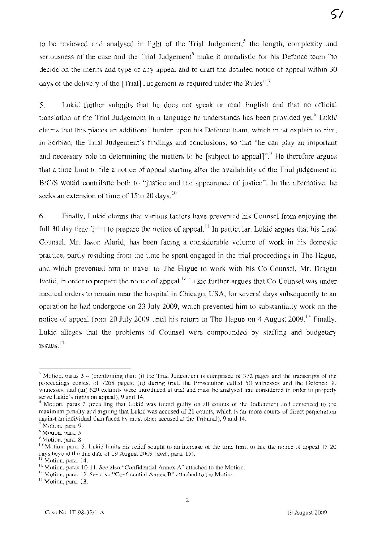to be reviewed and analysed in light of the Trial Judgement,<sup>5</sup> the length, complexity and seriousness of the case and the Trial Judgement<sup>6</sup> make it unrealistic for his Defence team "to decide on the merits and type of any appeal and to draft the detailed notice of appeal within 30 days of the delivery of the [Trial] Judgement as required under the Rules".<sup>7</sup>

5. Lukic further submits that he does not speak or read English and that no official translation of the Trial Judgement in a language he understands has been provided yet.<sup>8</sup> Lukić claims that this places an additional burden upon his Defence team, which must explain to him, in Serbian, the Trial Judgement's findings and conclusions, so that "he can play an important and necessary role in determining the matters to be [subject to appeal]".<sup>9</sup> He therefore argues that a time limit to file a notice of appeal starting after the availability of the Trial judgement in *B/c/S* would contribute both to "justice and the appearance of justice". In the alternative, he seeks an extension of time of 15to 20 days.  $10$ 

6. Finally, Lukic claims that various factors have prevented his Counsel from enjoying the full 30 day time limit to prepare the notice of appeal.<sup>11</sup> In particular, Lukić argues that his Lead Counsel, Mr. Jason Alarid, has been facing a considerable volume of work in his domestic practice, partly resulting from the time he spent engaged in the trial proceedings in The Hague, and which prevented him to travel to The Hague to work with his Co-Counsel, Mr. Dragan Ivetić, in order to prepare the notice of appeal.<sup>12</sup> Lukić further argues that Co-Counsel was under medical orders to remain near the hospital in Chicago, USA, for several days subsequently to an operation he had undergone on 23 July 2009, which prevented him to substantially work on the notice of appeal from 20 July 2009 until his return to The Hague on 4 August 2009.<sup>13</sup> Finally, Lukic alleges that the problems of Counsel were compounded by staffing and budgetary  $issues.$ <sup>14</sup>

<sup>5</sup> Motion, paras 3-4 (mentioning that: (i) the Trial Judgement is comprised of 372 pages and the transcripts of the proceedings consist of 7268 pages; (ii) during trial, the Prosecution called 50 witnesses and the Defence 30 witnesses; and (iii) 620 exhibits were introduced at trial and must be analysed and considered in order to properly serve Lukić's rights on appeal), 9 and 14.

<sup>6</sup> Motion, paras 2 (recalling that Lukic was found guilty on all counts of the Indictment and sentenced to the maximum penalty and arguing that Lukic was accused of 21 counts, which is far more counts of direct perpetration against an individual than faced by most other accused at the Tribunal), 9 and 14.

Motion, para. 9.

<sup>8</sup> Motion, para. 5

<sup>&</sup>lt;sup>9</sup> Motion, para. 8.

<sup>&</sup>lt;sup>10</sup> Motion, para. 5. Lukic limits his relief sought to an increase of the time limit to file the notice of appeal 15-20 days beyond the due date of 19 August 2009 *(ibid., para.* 15).<br><sup>11</sup> Mating 500 144.

Motion, para. 14.

<sup>12</sup>Motion, paras 1O-1l. *See* also "Confidential Annex A" attached to the Motion.

<sup>!3</sup> Motion, para. 12. *See* also "Confidential Annex B" attached to the Motion.

<sup>&</sup>lt;sup>14</sup> Motion, para. 13.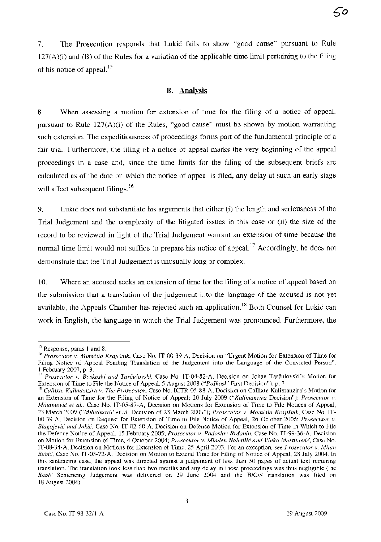7. The Prosecution responds that Lukic fails to show "good cause" pursuant to Rule  $127(A)(i)$  and (B) of the Rules for a variation of the applicable time limit pertaining to the filing of his notice of appeal. 15

## **B. Analysis**

8. When assessing a motion for extension of time for the filing of a notice of appeal, pursuant to Rule  $127(A)(i)$  of the Rules, "good cause" must be shown by motion warranting such extension. The expeditiousness of proceedings forms part of the fundamental principle of a fair trial. Furthermore, the filing of a notice of appeal marks the very beginning of the appeal proceedings in a case and, since the time limits for the filing of the subsequent briefs are calculated as of the date on which the notice of appeal is filed, any delay at such an early stage will affect subsequent filings.<sup>16</sup>

9. Lukic does not substantiate his arguments that either (i) the length and seriousness of the Trial Judgement and the complexity of the litigated issues in this case or (ii) the size of the record to be reviewed in light of the Trial Judgement warrant an extension of time because the normal time limit would not suffice to prepare his notice of appeal.<sup>17</sup> Accordingly, he does not demonstrate that the Trial Judgement is unusually long or complex.

10. Where an accused seeks an extension of time for the filing of a notice of appeal based on the submission that a translation of the judgement into the language of the accused is not yet available, the Appeals Chamber has rejected such an application.<sup>18</sup> Both Counsel for Lukić can work in English, the language in which the Trial Judgement was pronounced. Furthermore, the

<sup>15</sup> Response, paras 1 and 8.

<sup>&</sup>lt;sup>16</sup> Prosecutor v. Momčilo Krajišnik, Case No. IT-00-39-A, Decision on "Urgent Motion for Extension of Time for Filing Notice of Appeal Pending Translation of the Judgement into the Language of the Convicted Person",  $\frac{1}{17}$  February 2007, p. 3.

<sup>17</sup>*Prosecutor v. Boskoski and Tarculovski,* Case No. IT-04-82-A, Decision on Johan Tarculovski's Motion for Extension of Time to File the Notice of Appeal, 5 August 2008 *("Boskoski* First Decision"), p. 2.

<sup>18</sup>*Callixte Kalimanzira v. The Prosecutor,* Case No. ICTR-05-88-A, Decision on Callixte Kalimanzira's Motion for an Extension of Time for the Filing of Notice of Appeal; 20 July 2009 *("Kalimanzira* Decision"); *Prosecutor v. Milutinovic et aI.,* Case No. IT-05-87-A, Decision on Motions for Extension of Time to File Notices of Appeal, 23 March 2009 ("Milutinović et al. Decision of 23 March 2009"); Prosecutor v. Momčilo Krajišnik, Case No. IT-00-39-A, Decision on Request for Extension of Time to File Notice of Appeal, 26 October 2006; *Prosecutor v. Blagojević and Jokić*, Case No. IT-02-60-A, Decision on Defence Motion for Extension of Time in Which to File the Defence Notice of Appeal, 15 February 2005; *Prosecutor v. Radoslav Brdanin,* Case No. IT-99-36-A, Decision on Motion for Extension of Time, 4 October 2004; Prosecutor v. Mladen Naletilić and Vinko Martinović, Case No. IT-08-34-A, Decision on Motions for Extension of Time, 25 April 2003. For an exception, *see Prosecutor v. Milan BabiG',* Case No. IT-03-72-A, Decision on Motion to Extend Time for Filing of Notice of Appeal, 28 July 2004. In this sentencing case, the appeal was directed against a judgement of less than 50 pages of actual text requiring translation. The translation took less than two months and any delay in those proceedings was thus negligible (the *Babic* Sentencing Judgement was delivered on 29 June 2004 and the *B/c/S* translation was filed on 18 August 2004).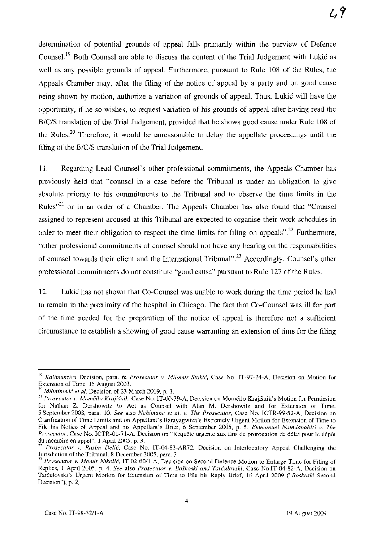determination of potential grounds of appeal falls primarily within the purview of Defence Counsel.<sup>19</sup> Both Counsel are able to discuss the content of the Trial Judgement with Lukić as well as any possible grounds of appeal. Furthermore, pursuant to Rule 108 of the Rules, the Appeals Chamber may, after the filing of the notice of appeal by a party and on good cause being shown by motion, authorize a variation of grounds of appeal. Thus, Lukic will have the opportunity, if he so wishes, to request variation of his grounds of appeal after having read the B/c/S translation of the Trial Judgement, provided that he shows good cause under Rule 108 of the Rules.<sup>20</sup> Therefore, it would be unreasonable to delay the appellate proceedings until the filing of the B/C/S translation of the Trial Judgement.

11. Regarding Lead Counsel's other professional commitments, the Appeals Chamber has previously held that "counsel in a case before the Tribunal is under an obligation to give absolute priority to his commitments to the Tribunal and to observe the time limits in the Rules $n^{21}$  or in an order of a Chamber. The Appeals Chamber has also found that "Counsel assigned to represent accused at this Tribunal are expected to organise their work schedules in order to meet their obligation to respect the time limits for filing on appeals".<sup>22</sup> Furthermore, "other professional commitments of counsel should not have any bearing on the responsibilities of counsel towards their client and the International Tribunal".23 Accordingly, Counsel's other professional commitments do not constitute "good cause" pursuant to Rule 127 of the Rules.

12. Lukic has not shown that Co-Counsel was unable to work during the time period he had to remain in the proximity of the hospital in Chicago. The fact that Co-Counsel was ill for part of the time needed for the preparation of the notice of appeal is therefore not a sufficient circumstance to establish a showing of good cause warranting an extension of time for the filing

<sup>19</sup>*Kalimanzira* Decision, para. 6; *Prosecutor v. Milomir Stakic,* Case No. IT-97-24-A, Decision on Motion for Extension of Time, 15 August 2003.

*<sup>20</sup> Milutinovic et al.* Decision of 23 March 2009, p. 3.

<sup>&</sup>lt;sup>21</sup> Prosecutor v. Momčilo Krajišnik, Case No. IT-00-39-A, Decision on Momčilo Krajišnik's Motion for Permission for Nathan Z. Dershowitz to Act as Counsel with Alan M. Dershowitz and for Extension of Time, 5 September 2008, para. 10. *See* also *Nahimana et al. v. The Prosecutor,* Case No. ICTR-99-52-A, Decision on Clarification of Time Limits and on Appellant's Barayagwiza's Extremely Urgent Motion for Extension of Time to File his Notice of Appeal and his Appellant's Brief, 6 September 2005, p. 5; *Emmanuel Ndindabahizi v. The Prosecutor*, Case No. ICTR-01-71-A, Decision on "Requête urgente aux fins de prorogation de délai pour le dépôt du memoire en appel", 1 April 2005, p. 3.

<sup>&</sup>lt;sup>22</sup> Prosecutor v. Rasim Delić, Case No. IT-04-83-AR72, Decision on Interlocutory Appeal Challenging the Jurisdiction of the Tribunal, 8 December 2005, para. 3.

<sup>&</sup>lt;sup>3</sup> Prosecutor v. Momir Nikolić, IT-02-60/1-A, Decision on Second Defence Motion to Enlarge Time for Filing of Replies, I April 2005, p. 4. *See* also *Prosecutor v. Bo§koski and Tarculovski,* Case No.lT-04-82-A, Decision on Tarculovski's Urgent Motion for Extension of Time to File his Reply Brief, 16 April 2009 *("Bolkoski* Second Decision"), p. 2.